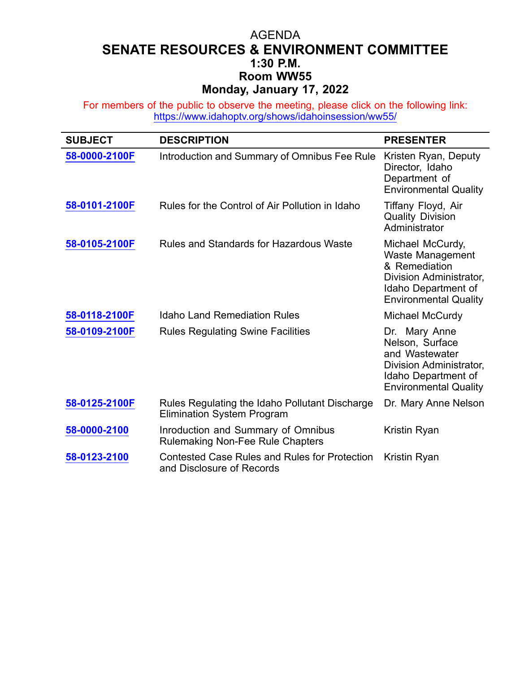## AGENDA **SENATE RESOURCES & ENVIRONMENT COMMITTEE 1:30 P.M. Room WW55 Monday, January 17, 2022**

For members of the public to observe the meeting, please click on the following link: <https://www.idahoptv.org/shows/idahoinsession/ww55/>

| <b>SUBJECT</b> | <b>DESCRIPTION</b>                                                                  | <b>PRESENTER</b>                                                                                                                               |
|----------------|-------------------------------------------------------------------------------------|------------------------------------------------------------------------------------------------------------------------------------------------|
| 58-0000-2100F  | Introduction and Summary of Omnibus Fee Rule                                        | Kristen Ryan, Deputy<br>Director, Idaho<br>Department of<br><b>Environmental Quality</b>                                                       |
| 58-0101-2100F  | Rules for the Control of Air Pollution in Idaho                                     | Tiffany Floyd, Air<br><b>Quality Division</b><br>Administrator                                                                                 |
| 58-0105-2100F  | Rules and Standards for Hazardous Waste                                             | Michael McCurdy,<br><b>Waste Management</b><br>& Remediation<br>Division Administrator,<br>Idaho Department of<br><b>Environmental Quality</b> |
| 58-0118-2100F  | <b>Idaho Land Remediation Rules</b>                                                 | Michael McCurdy                                                                                                                                |
| 58-0109-2100F  | <b>Rules Regulating Swine Facilities</b>                                            | Dr. Mary Anne<br>Nelson, Surface<br>and Wastewater<br>Division Administrator,<br>Idaho Department of<br><b>Environmental Quality</b>           |
| 58-0125-2100F  | Rules Regulating the Idaho Pollutant Discharge<br><b>Elimination System Program</b> | Dr. Mary Anne Nelson                                                                                                                           |
| 58-0000-2100   | Inroduction and Summary of Omnibus<br><b>Rulemaking Non-Fee Rule Chapters</b>       | Kristin Ryan                                                                                                                                   |
| 58-0123-2100   | <b>Contested Case Rules and Rules for Protection</b><br>and Disclosure of Records   | Kristin Ryan                                                                                                                                   |